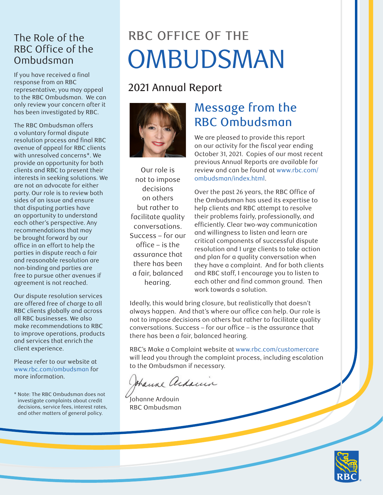#### The Role of the RBC Office of the Ombudsman

If you have received a final response from an RBC representative, you may appeal to the RBC Ombudsman. We can only review your concern after it has been investigated by RBC.

The RBC Ombudsman offers a voluntary formal dispute resolution process and final RBC avenue of appeal for RBC clients with unresolved concerns\*. We provide an opportunity for both clients and RBC to present their interests in seeking solutions. We are not an advocate for either party. Our role is to review both sides of an issue and ensure that disputing parties have an opportunity to understand each other's perspective. Any recommendations that may be brought forward by our office in an effort to help the parties in dispute reach a fair and reasonable resolution are non-binding and parties are free to pursue other avenues if agreement is not reached.

Our dispute resolution services are offered free of charge to all RBC clients globally and across all RBC businesses. We also make recommendations to RBC to improve operations, products and services that enrich the client experience.

Please refer to our website at [www.rbc.com/ombudsman](http://www.rbc.com/ombudsman) for more information.

\* Note: The RBC Ombudsman does not investigate complaints about credit decisions, service fees, interest rates, and other matters of general policy.

# RBC OFFICE OF THE OMBUDSMAN

## 2021 Annual Report



Our role is not to impose decisions on others but rather to facilitate quality conversations. Success – for our office – is the assurance that there has been a fair, balanced hearing.

# Message from the RBC Ombudsman

We are pleased to provide this report on our activity for the fiscal year ending October 31, 2021. Copies of our most recent previous Annual Reports are available for review and can be found at [www.rbc.com/](http://www.rbc.com/ombudsman/index.html) [ombudsman/index.html](http://www.rbc.com/ombudsman/index.html).

Over the past 26 years, the RBC Office of the Ombudsman has used its expertise to help clients and RBC attempt to resolve their problems fairly, professionally, and efficiently. Clear two-way communication and willingness to listen and learn are critical components of successful dispute resolution and I urge clients to take action and plan for a quality conversation when they have a complaint. And for both clients and RBC staff, I encourage you to listen to each other and find common ground. Then work towards a solution.

Ideally, this would bring closure, but realistically that doesn't always happen. And that's where our office can help. Our role is not to impose decisions on others but rather to facilitate quality conversations. Success – for our office – is the assurance that there has been a fair, balanced hearing.

RBC's Make a Complaint website at [www.rbc.com/customercare](http://www.rbc.com/customercare) will lead you through the complaint process, including escalation to the Ombudsman if necessary.

thank addin

Johanne Ardouin RBC Ombudsman